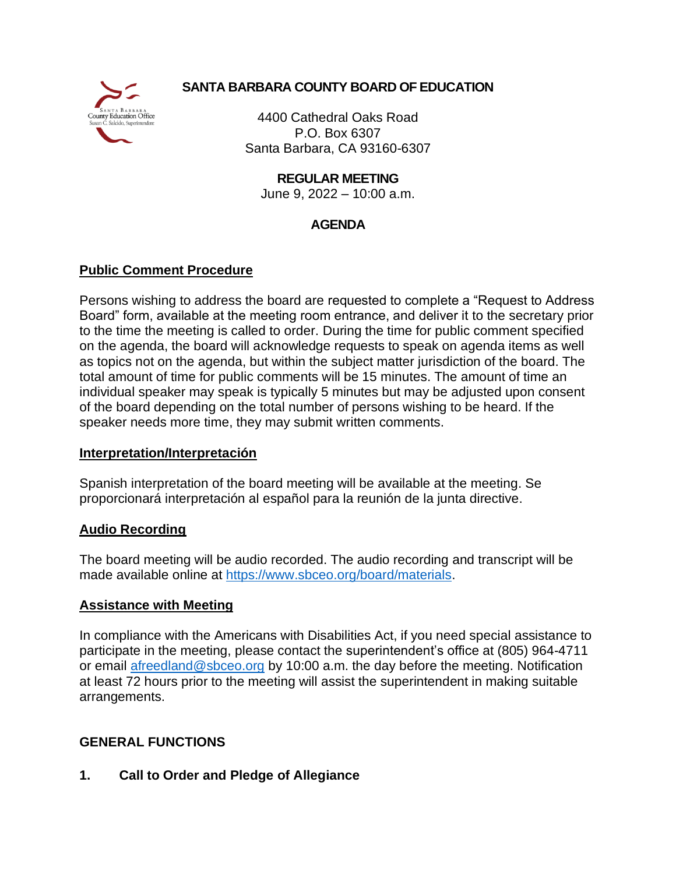

# **SANTA BARBARA COUNTY BOARD OF EDUCATION**

4400 Cathedral Oaks Road P.O. Box 6307 Santa Barbara, CA 93160-6307

**REGULAR MEETING**

June 9, 2022 – 10:00 a.m.

# **AGENDA**

# **Public Comment Procedure**

Persons wishing to address the board are requested to complete a "Request to Address Board" form, available at the meeting room entrance, and deliver it to the secretary prior to the time the meeting is called to order. During the time for public comment specified on the agenda, the board will acknowledge requests to speak on agenda items as well as topics not on the agenda, but within the subject matter jurisdiction of the board. The total amount of time for public comments will be 15 minutes. The amount of time an individual speaker may speak is typically 5 minutes but may be adjusted upon consent of the board depending on the total number of persons wishing to be heard. If the speaker needs more time, they may submit written comments.

## **Interpretation/Interpretación**

Spanish interpretation of the board meeting will be available at the meeting. Se proporcionará interpretación al español para la reunión de la junta directive.

## **Audio Recording**

The board meeting will be audio recorded. The audio recording and transcript will be made available online at [https://www.sbceo.org/board/materials.](https://www.sbceo.org/board/materials)

## **Assistance with Meeting**

In compliance with the Americans with Disabilities Act, if you need special assistance to participate in the meeting, please contact the superintendent's office at (805) 964-4711 or email [afreedland@sbceo.org](mailto:afreedland@sbceo.org) by 10:00 a.m. the day before the meeting. Notification at least 72 hours prior to the meeting will assist the superintendent in making suitable arrangements.

# **GENERAL FUNCTIONS**

**1. Call to Order and Pledge of Allegiance**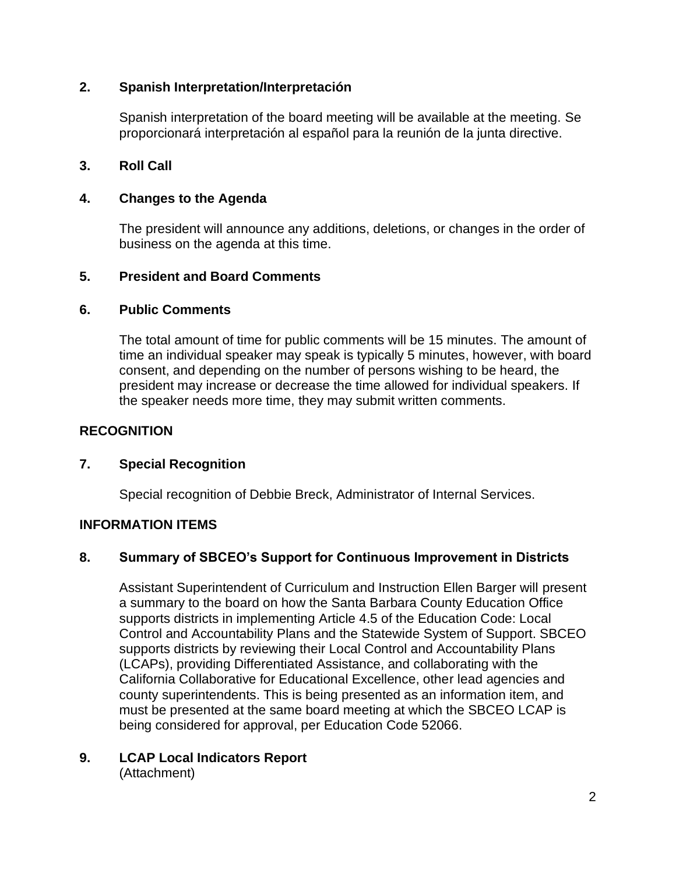#### **2. Spanish Interpretation/Interpretación**

Spanish interpretation of the board meeting will be available at the meeting. Se proporcionará interpretación al español para la reunión de la junta directive.

#### **3. Roll Call**

#### **4. Changes to the Agenda**

The president will announce any additions, deletions, or changes in the order of business on the agenda at this time.

#### **5. President and Board Comments**

#### **6. Public Comments**

The total amount of time for public comments will be 15 minutes. The amount of time an individual speaker may speak is typically 5 minutes, however, with board consent, and depending on the number of persons wishing to be heard, the president may increase or decrease the time allowed for individual speakers. If the speaker needs more time, they may submit written comments.

### **RECOGNITION**

#### **7. Special Recognition**

Special recognition of Debbie Breck, Administrator of Internal Services.

## **INFORMATION ITEMS**

## **8. Summary of SBCEO's Support for Continuous Improvement in Districts**

Assistant Superintendent of Curriculum and Instruction Ellen Barger will present a summary to the board on how the Santa Barbara County Education Office supports districts in implementing Article 4.5 of the Education Code: Local Control and Accountability Plans and the Statewide System of Support. SBCEO supports districts by reviewing their Local Control and Accountability Plans (LCAPs), providing Differentiated Assistance, and collaborating with the California Collaborative for Educational Excellence, other lead agencies and county superintendents. This is being presented as an information item, and must be presented at the same board meeting at which the SBCEO LCAP is being considered for approval, per Education Code 52066.

#### **9. LCAP Local Indicators Report** (Attachment)